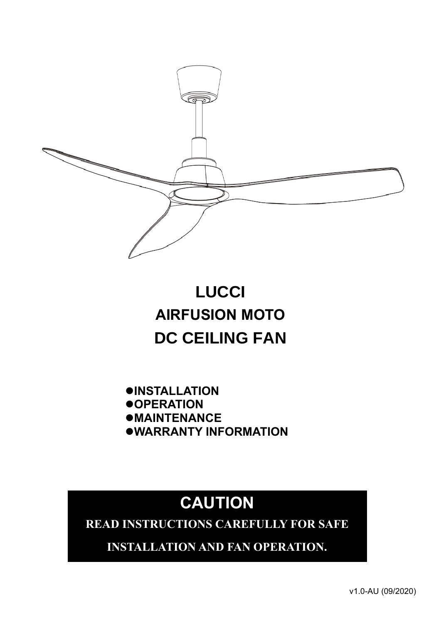

# **LUCCI AIRFUSION MOTO DC CEILING FAN**

⚫**INSTALLATION** ⚫**OPERATION** ⚫**MAINTENANCE** ⚫**WARRANTY INFORMATION**

# **CAUTION**

**READ INSTRUCTIONS CAREFULLY FOR SAFE** 

**INSTALLATION AND FAN OPERATION.**

v1.0-AU (09/2020)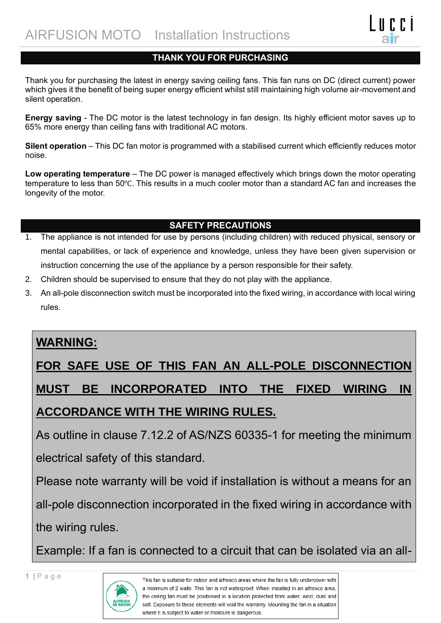### **THANK YOU FOR PURCHASING**

Thank you for purchasing the latest in energy saving ceiling fans. This fan runs on DC (direct current) power which gives it the benefit of being super energy efficient whilst still maintaining high volume air-movement and silent operation.

**Energy saving** - The DC motor is the latest technology in fan design. Its highly efficient motor saves up to 65% more energy than ceiling fans with traditional AC motors.

**Silent operation** – This DC fan motor is programmed with a stabilised current which efficiently reduces motor noise.

**Low operating temperature** – The DC power is managed effectively which brings down the motor operating temperature to less than 50℃. This results in a much cooler motor than a standard AC fan and increases the longevity of the motor.

## **SAFETY PRECAUTIONS**

- 1. The appliance is not intended for use by persons (including children) with reduced physical, sensory or mental capabilities, or lack of experience and knowledge, unless they have been given supervision or instruction concerning the use of the appliance by a person responsible for their safety.
- 2. Children should be supervised to ensure that they do not play with the appliance.
- 3. An all-pole disconnection switch must be incorporated into the fixed wiring, in accordance with local wiring rules.

## **WARNING:**

# **FOR SAFE USE OF THIS FAN AN ALL-POLE DISCONNECTION MUST BE INCORPORATED INTO THE FIXED WIRING IN ACCORDANCE WITH THE WIRING RULES.**

As outline in clause 7.12.2 of AS/NZS 60335-1 for meeting the minimum electrical safety of this standard.

Please note warranty will be void if installation is without a means for an all-pole disconnection incorporated in the fixed wiring in accordance with the wiring rules.

Example: If a fan is connected to a circuit that can be isolated via an all-

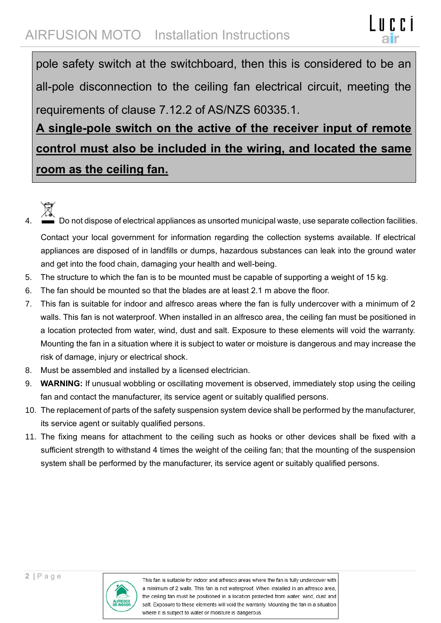## AIRFUSION MOTO Installation Instructions

pole safety switch at the switchboard, then this is considered to be an all-pole disconnection to the ceiling fan electrical circuit, meeting the requirements of clause 7.12.2 of AS/NZS 60335.1.

**A single-pole switch on the active of the receiver input of remote control must also be included in the wiring, and located the same room as the ceiling fan.**

- 
- Do not dispose of electrical appliances as unsorted municipal waste, use separate collection facilities. Contact your local government for information regarding the collection systems available. If electrical appliances are disposed of in landfills or dumps, hazardous substances can leak into the ground water and get into the food chain, damaging your health and well-being.
- 5. The structure to which the fan is to be mounted must be capable of supporting a weight of 15 kg.
- 6. The fan should be mounted so that the blades are at least 2.1 m above the floor.
- 7. This fan is suitable for indoor and alfresco areas where the fan is fully undercover with a minimum of 2 walls. This fan is not waterproof. When installed in an alfresco area, the ceiling fan must be positioned in a location protected from water, wind, dust and salt. Exposure to these elements will void the warranty. Mounting the fan in a situation where it is subject to water or moisture is dangerous and may increase the risk of damage, injury or electrical shock.
- 8. Must be assembled and installed by a licensed electrician.
- 9. **WARNING:** If unusual wobbling or oscillating movement is observed, immediately stop using the ceiling fan and contact the manufacturer, its service agent or suitably qualified persons.
- 10. The replacement of parts of the safety suspension system device shall be performed by the manufacturer, its service agent or suitably qualified persons.
- 11. The fixing means for attachment to the ceiling such as hooks or other devices shall be fixed with a sufficient strength to withstand 4 times the weight of the ceiling fan; that the mounting of the suspension system shall be performed by the manufacturer, its service agent or suitably qualified persons.

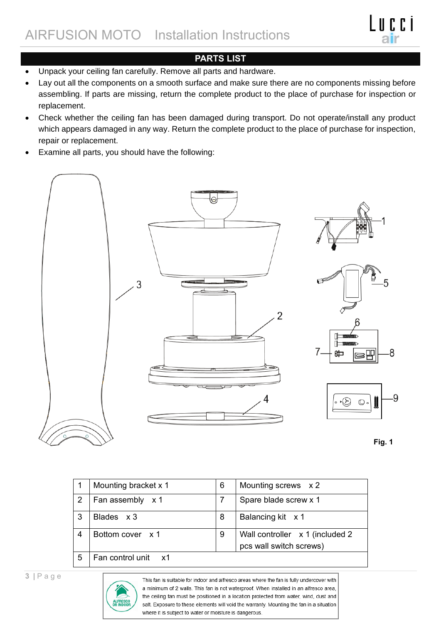

## **PARTS LIST**

- Unpack your ceiling fan carefully. Remove all parts and hardware.
- Lay out all the components on a smooth surface and make sure there are no components missing before assembling. If parts are missing, return the complete product to the place of purchase for inspection or replacement.
- Check whether the ceiling fan has been damaged during transport. Do not operate/install any product which appears damaged in any way. Return the complete product to the place of purchase for inspection, repair or replacement.
- Examine all parts, you should have the following:



|   | Mounting bracket x 1 | 6 | Mounting screws x 2                                         |
|---|----------------------|---|-------------------------------------------------------------|
| 2 | Fan assembly x 1     |   | Spare blade screw x 1                                       |
| 3 | Blades x 3           | 8 | Balancing kit x 1                                           |
| 4 | Bottom cover x 1     | 9 | Wall controller x 1 (included 2)<br>pcs wall switch screws) |
| 5 | Fan control unit x1  |   |                                                             |

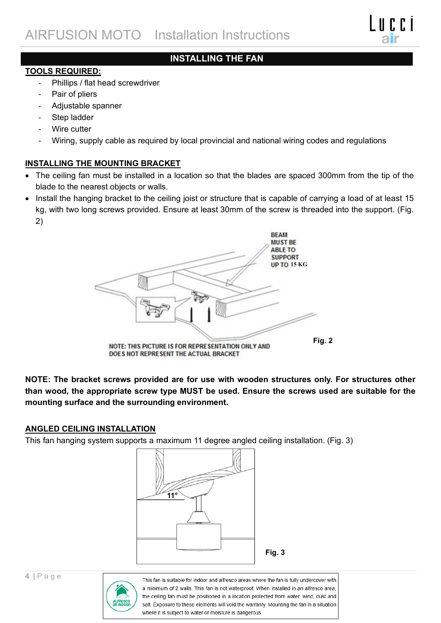## **INSTALLING THE FAN**

### **TOOLS REQUIRED:**

- Phillips / flat head screwdriver
- Pair of pliers
- Adjustable spanner
- Step ladder
- Wire cutter
- Wiring, supply cable as required by local provincial and national wiring codes and regulations

### **INSTALLING THE MOUNTING BRACKET**

- The ceiling fan must be installed in a location so that the blades are spaced 300mm from the tip of the blade to the nearest objects or walls.
- Install the hanging bracket to the ceiling joist or structure that is capable of carrying a load of at least 15 kg, with two long screws provided. Ensure at least 30mm of the screw is threaded into the support. (Fig. 2)



**NOTE: The bracket screws provided are for use with wooden structures only. For structures other than wood, the appropriate screw type MUST be used. Ensure the screws used are suitable for the mounting surface and the surrounding environment.**

### **ANGLED CEILING INSTALLATION**

This fan hanging system supports a maximum 11 degree angled ceiling installation. (Fig. 3)



**Fig. 3**

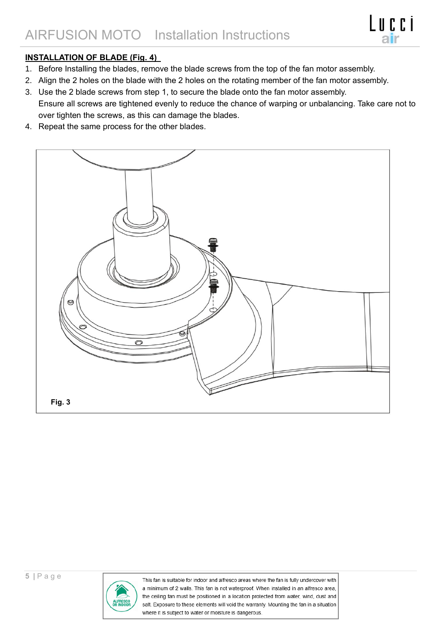### **INSTALLATION OF BLADE (Fig. 4)**

- 1. Before Installing the blades, remove the blade screws from the top of the fan motor assembly.
- 2. Align the 2 holes on the blade with the 2 holes on the rotating member of the fan motor assembly.
- 3. Use the 2 blade screws from step 1, to secure the blade onto the fan motor assembly. Ensure all screws are tightened evenly to reduce the chance of warping or unbalancing. Take care not to over tighten the screws, as this can damage the blades.
- 4. Repeat the same process for the other blades.



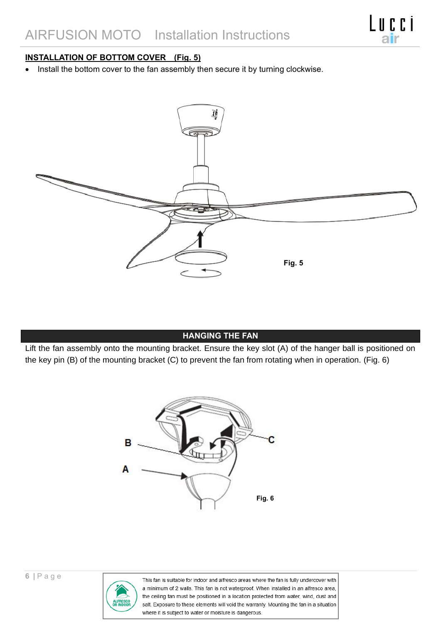### **INSTALLATION OF BOTTOM COVER (Fig. 5)**

• Install the bottom cover to the fan assembly then secure it by turning clockwise.



### **HANGING THE FAN**

Lift the fan assembly onto the mounting bracket. Ensure the key slot (A) of the hanger ball is positioned on the key pin (B) of the mounting bracket (C) to prevent the fan from rotating when in operation. (Fig. 6)



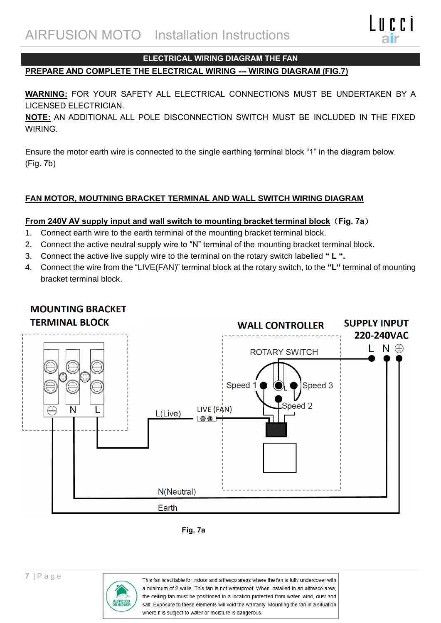

#### **ELECTRICAL WIRING DIAGRAM THE FAN**

### **PREPARE AND COMPLETE THE ELECTRICAL WIRING --- WIRING DIAGRAM (FIG.7)**

**WARNING:** FOR YOUR SAFETY ALL ELECTRICAL CONNECTIONS MUST BE UNDERTAKEN BY A LICENSED ELECTRICIAN.

**NOTE:** AN ADDITIONAL ALL POLE DISCONNECTION SWITCH MUST BE INCLUDED IN THE FIXED WIRING.

Ensure the motor earth wire is connected to the single earthing terminal block "1" in the diagram below. (Fig. 7b)

### **FAN MOTOR, MOUTNING BRACKET TERMINAL AND WALL SWITCH WIRING DIAGRAM**

#### **From 240V AV supply input and wall switch to mounting bracket terminal block**(**Fig. 7a**)

- 1. Connect earth wire to the earth terminal of the mounting bracket terminal block.
- 2. Connect the active neutral supply wire to "N" terminal of the mounting bracket terminal block.
- 3. Connect the active live supply wire to the terminal on the rotary switch labelled **" L ".**
- 4. Connect the wire from the "LIVE(FAN)" terminal block at the rotary switch, to the **"L"** terminal of mounting bracket terminal block.



## **MOUNTING BRACKET**



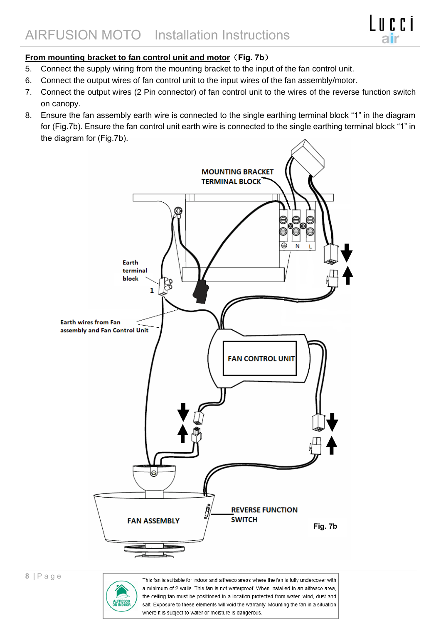## **From mounting bracket to fan control unit and motor**(**Fig. 7b**)

- 5. Connect the supply wiring from the mounting bracket to the input of the fan control unit.
- 6. Connect the output wires of fan control unit to the input wires of the fan assembly/motor.
- 7. Connect the output wires (2 Pin connector) of fan control unit to the wires of the reverse function switch on canopy.
- 8. Ensure the fan assembly earth wire is connected to the single earthing terminal block "1" in the diagram for (Fig.7b). Ensure the fan control unit earth wire is connected to the single earthing terminal block "1" in the diagram for (Fig.7b).

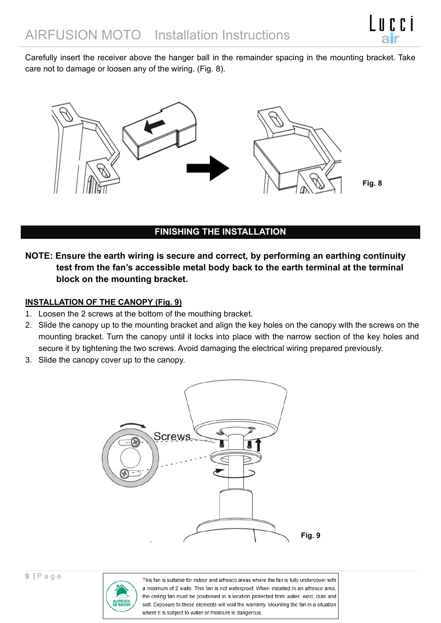Carefully insert the receiver above the hanger ball in the remainder spacing in the mounting bracket. Take care not to damage or loosen any of the wiring. (Fig. 8).



### **FINISHING THE INSTALLATION**

**NOTE: Ensure the earth wiring is secure and correct, by performing an earthing continuity test from the fan's accessible metal body back to the earth terminal at the terminal block on the mounting bracket.**

### **INSTALLATION OF THE CANOPY (Fig. 9)**

- 1. Loosen the 2 screws at the bottom of the mouthing bracket.
- 2. Slide the canopy up to the mounting bracket and align the key holes on the canopy with the screws on the mounting bracket. Turn the canopy until it locks into place with the narrow section of the key holes and secure it by tightening the two screws. Avoid damaging the electrical wiring prepared previously.
- 3. Slide the canopy cover up to the canopy.



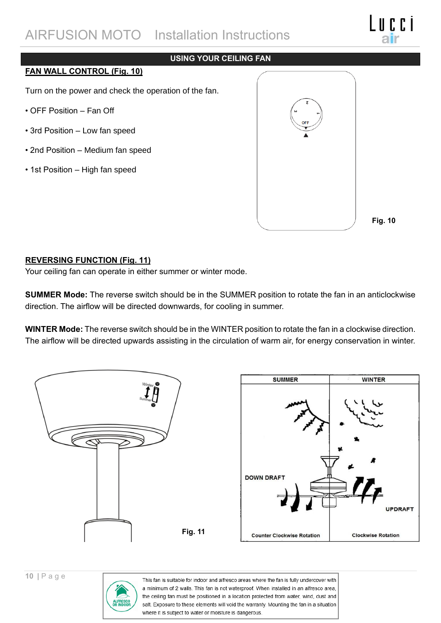## AIRFUSION MOTO Installation Instructions

### **USING YOUR CEILING FAN**

#### **FAN WALL CONTROL (Fig. 10)**

Turn on the power and check the operation of the fan.

- OFF Position Fan Off
- 3rd Position Low fan speed
- 2nd Position Medium fan speed
- 1st Position High fan speed



**Fig. 10**

### **REVERSING FUNCTION (Fig. 11)**

Your ceiling fan can operate in either summer or winter mode.

**SUMMER Mode:** The reverse switch should be in the SUMMER position to rotate the fan in an anticlockwise direction. The airflow will be directed downwards, for cooling in summer.

**WINTER Mode:** The reverse switch should be in the WINTER position to rotate the fan in a clockwise direction. The airflow will be directed upwards assisting in the circulation of warm air, for energy conservation in winter.



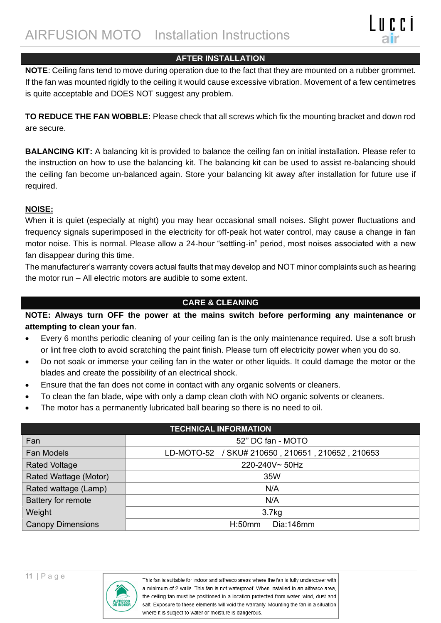### **AFTER INSTALLATION**

**NOTE**: Ceiling fans tend to move during operation due to the fact that they are mounted on a rubber grommet. If the fan was mounted rigidly to the ceiling it would cause excessive vibration. Movement of a few centimetres is quite acceptable and DOES NOT suggest any problem.

**TO REDUCE THE FAN WOBBLE:** Please check that all screws which fix the mounting bracket and down rod are secure.

**BALANCING KIT:** A balancing kit is provided to balance the ceiling fan on initial installation. Please refer to the instruction on how to use the balancing kit. The balancing kit can be used to assist re-balancing should the ceiling fan become un-balanced again. Store your balancing kit away after installation for future use if required.

### **NOISE:**

When it is quiet (especially at night) you may hear occasional small noises. Slight power fluctuations and frequency signals superimposed in the electricity for off-peak hot water control, may cause a change in fan motor noise. This is normal. Please allow a 24-hour "settling-in" period, most noises associated with a new fan disappear during this time.

The manufacturer's warranty covers actual faults that may develop and NOT minor complaints such as hearing the motor run – All electric motors are audible to some extent.

### **CARE & CLEANING**

**NOTE: Always turn OFF the power at the mains switch before performing any maintenance or attempting to clean your fan**.

- Every 6 months periodic cleaning of your ceiling fan is the only maintenance required. Use a soft brush or lint free cloth to avoid scratching the paint finish. Please turn off electricity power when you do so.
- Do not soak or immerse your ceiling fan in the water or other liquids. It could damage the motor or the blades and create the possibility of an electrical shock.
- Ensure that the fan does not come in contact with any organic solvents or cleaners.
- To clean the fan blade, wipe with only a damp clean cloth with NO organic solvents or cleaners.
- The motor has a permanently lubricated ball bearing so there is no need to oil.

| <b>TECHNICAL INFORMATION</b> |                                                  |  |  |  |  |
|------------------------------|--------------------------------------------------|--|--|--|--|
| Fan                          | 52" DC fan - MOTO                                |  |  |  |  |
| <b>Fan Models</b>            | LD-MOTO-52 / SKU# 210650, 210651, 210652, 210653 |  |  |  |  |
| <b>Rated Voltage</b>         | 220-240V~50Hz                                    |  |  |  |  |
| Rated Wattage (Motor)        | 35W                                              |  |  |  |  |
| Rated wattage (Lamp)         | N/A                                              |  |  |  |  |
| Battery for remote           | N/A                                              |  |  |  |  |
| Weight                       | 3.7 <sub>kg</sub>                                |  |  |  |  |
| <b>Canopy Dimensions</b>     | H:50mm<br>Dia:146mm                              |  |  |  |  |

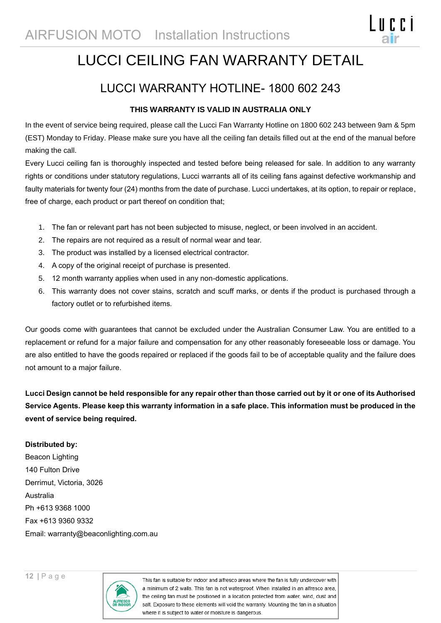## LUCCI CEILING FAN WARRANTY DETAIL

l o c c i

## LUCCI WARRANTY HOTLINE- 1800 602 243

### **THIS WARRANTY IS VALID IN AUSTRALIA ONLY**

In the event of service being required, please call the Lucci Fan Warranty Hotline on 1800 602 243 between 9am & 5pm (EST) Monday to Friday. Please make sure you have all the ceiling fan details filled out at the end of the manual before making the call.

Every Lucci ceiling fan is thoroughly inspected and tested before being released for sale. In addition to any warranty rights or conditions under statutory regulations, Lucci warrants all of its ceiling fans against defective workmanship and faulty materials for twenty four (24) months from the date of purchase. Lucci undertakes, at its option, to repair or replace, free of charge, each product or part thereof on condition that;

- 1. The fan or relevant part has not been subjected to misuse, neglect, or been involved in an accident.
- 2. The repairs are not required as a result of normal wear and tear.
- 3. The product was installed by a licensed electrical contractor.
- 4. A copy of the original receipt of purchase is presented.
- 5. 12 month warranty applies when used in any non-domestic applications.
- 6. This warranty does not cover stains, scratch and scuff marks, or dents if the product is purchased through a factory outlet or to refurbished items.

Our goods come with guarantees that cannot be excluded under the Australian Consumer Law. You are entitled to a replacement or refund for a major failure and compensation for any other reasonably foreseeable loss or damage. You are also entitled to have the goods repaired or replaced if the goods fail to be of acceptable quality and the failure does not amount to a major failure.

**Lucci Design cannot be held responsible for any repair other than those carried out by it or one of its Authorised Service Agents. Please keep this warranty information in a safe place. This information must be produced in the event of service being required.**

#### **Distributed by:**

Beacon Lighting 140 Fulton Drive Derrimut, Victoria, 3026 Australia Ph +613 9368 1000 Fax +613 9360 9332 Email: warranty@beaconlighting.com.au